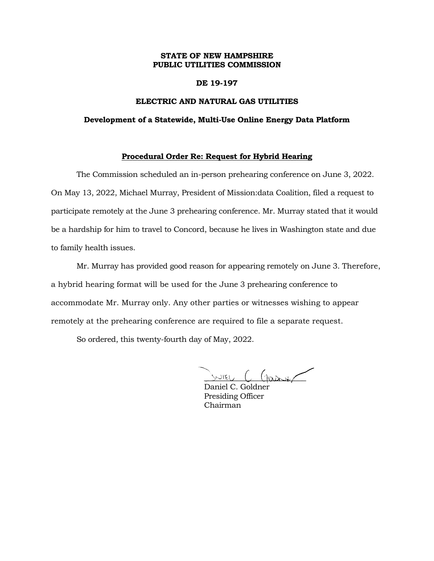# **STATE OF NEW HAMPSHIRE PUBLIC UTILITIES COMMISSION**

### **DE 19-197**

## **ELECTRIC AND NATURAL GAS UTILITIES**

#### **Development of a Statewide, Multi-Use Online Energy Data Platform**

# **Procedural Order Re: Request for Hybrid Hearing**

The Commission scheduled an in-person prehearing conference on June 3, 2022. On May 13, 2022, Michael Murray, President of Mission:data Coalition, filed a request to participate remotely at the June 3 prehearing conference. Mr. Murray stated that it would be a hardship for him to travel to Concord, because he lives in Washington state and due to family health issues.

Mr. Murray has provided good reason for appearing remotely on June 3. Therefore, a hybrid hearing format will be used for the June 3 prehearing conference to accommodate Mr. Murray only. Any other parties or witnesses wishing to appear remotely at the prehearing conference are required to file a separate request.

So ordered, this twenty-fourth day of May, 2022.

 $m_{\text{EU}}$  (  $\text{max}_{\text{E}}$ 

Daniel C. Goldner Presiding Officer Chairman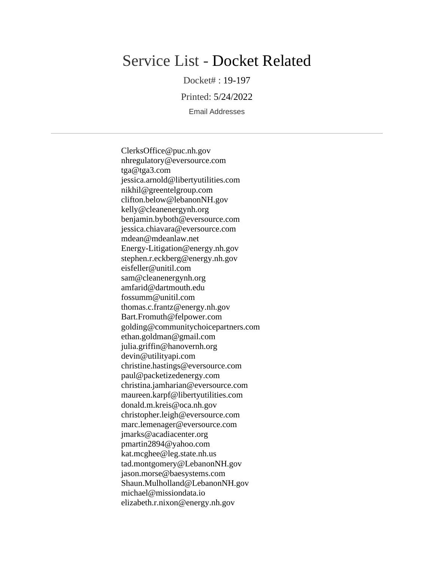# Service List - Docket Related

Docket# : 19-197

Printed: 5/24/2022

Email Addresses

ClerksOffice@puc.nh.gov nhregulatory@eversource.com tga@tga3.com jessica.arnold@libertyutilities.com nikhil@greentelgroup.com clifton.below@lebanonNH.gov kelly@cleanenergynh.org benjamin.byboth@eversource.com jessica.chiavara@eversource.com mdean@mdeanlaw.net Energy-Litigation@energy.nh.gov stephen.r.eckberg@energy.nh.gov eisfeller@unitil.com sam@cleanenergynh.org amfarid@dartmouth.edu fossumm@unitil.com thomas.c.frantz@energy.nh.gov Bart.Fromuth@felpower.com golding@communitychoicepartners.com ethan.goldman@gmail.com julia.griffin@hanovernh.org devin@utilityapi.com christine.hastings@eversource.com paul@packetizedenergy.com christina.jamharian@eversource.com maureen.karpf@libertyutilities.com donald.m.kreis@oca.nh.gov christopher.leigh@eversource.com marc.lemenager@eversource.com jmarks@acadiacenter.org pmartin2894@yahoo.com kat.mcghee@leg.state.nh.us tad.montgomery@LebanonNH.gov jason.morse@baesystems.com Shaun.Mulholland@LebanonNH.gov michael@missiondata.io elizabeth.r.nixon@energy.nh.gov